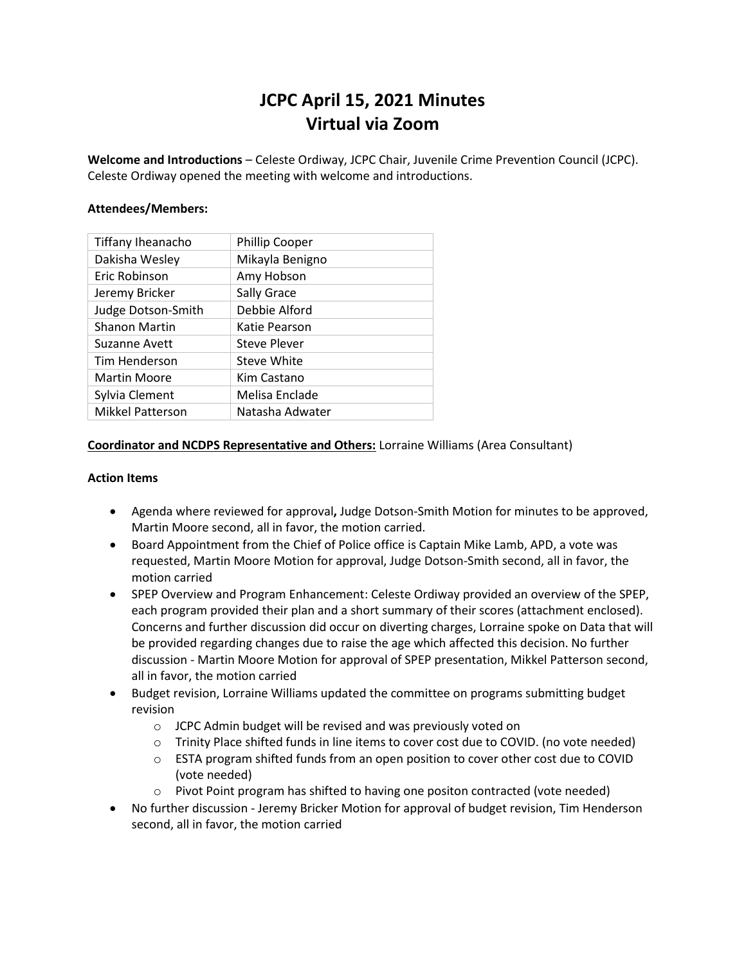# **JCPC April 15, 2021 Minutes Virtual via Zoom**

**Welcome and Introductions** – Celeste Ordiway, JCPC Chair, Juvenile Crime Prevention Council (JCPC). Celeste Ordiway opened the meeting with welcome and introductions.

#### **Attendees/Members:**

| Tiffany Iheanacho       | <b>Phillip Cooper</b> |
|-------------------------|-----------------------|
| Dakisha Wesley          | Mikayla Benigno       |
| Eric Robinson           | Amy Hobson            |
| Jeremy Bricker          | Sally Grace           |
| Judge Dotson-Smith      | Debbie Alford         |
| <b>Shanon Martin</b>    | Katie Pearson         |
| Suzanne Avett           | Steve Plever          |
| Tim Henderson           | Steve White           |
| <b>Martin Moore</b>     | Kim Castano           |
| Sylvia Clement          | Melisa Enclade        |
| <b>Mikkel Patterson</b> | Natasha Adwater       |

### **Coordinator and NCDPS Representative and Others:** Lorraine Williams (Area Consultant)

#### **Action Items**

- Agenda where reviewed for approval**,** Judge Dotson-Smith Motion for minutes to be approved, Martin Moore second, all in favor, the motion carried.
- Board Appointment from the Chief of Police office is Captain Mike Lamb, APD, a vote was requested, Martin Moore Motion for approval, Judge Dotson-Smith second, all in favor, the motion carried
- SPEP Overview and Program Enhancement: Celeste Ordiway provided an overview of the SPEP, each program provided their plan and a short summary of their scores (attachment enclosed). Concerns and further discussion did occur on diverting charges, Lorraine spoke on Data that will be provided regarding changes due to raise the age which affected this decision. No further discussion - Martin Moore Motion for approval of SPEP presentation, Mikkel Patterson second, all in favor, the motion carried
- Budget revision, Lorraine Williams updated the committee on programs submitting budget revision
	- o JCPC Admin budget will be revised and was previously voted on
	- o Trinity Place shifted funds in line items to cover cost due to COVID. (no vote needed)
	- $\circ$  ESTA program shifted funds from an open position to cover other cost due to COVID (vote needed)
	- o Pivot Point program has shifted to having one positon contracted (vote needed)
- No further discussion Jeremy Bricker Motion for approval of budget revision, Tim Henderson second, all in favor, the motion carried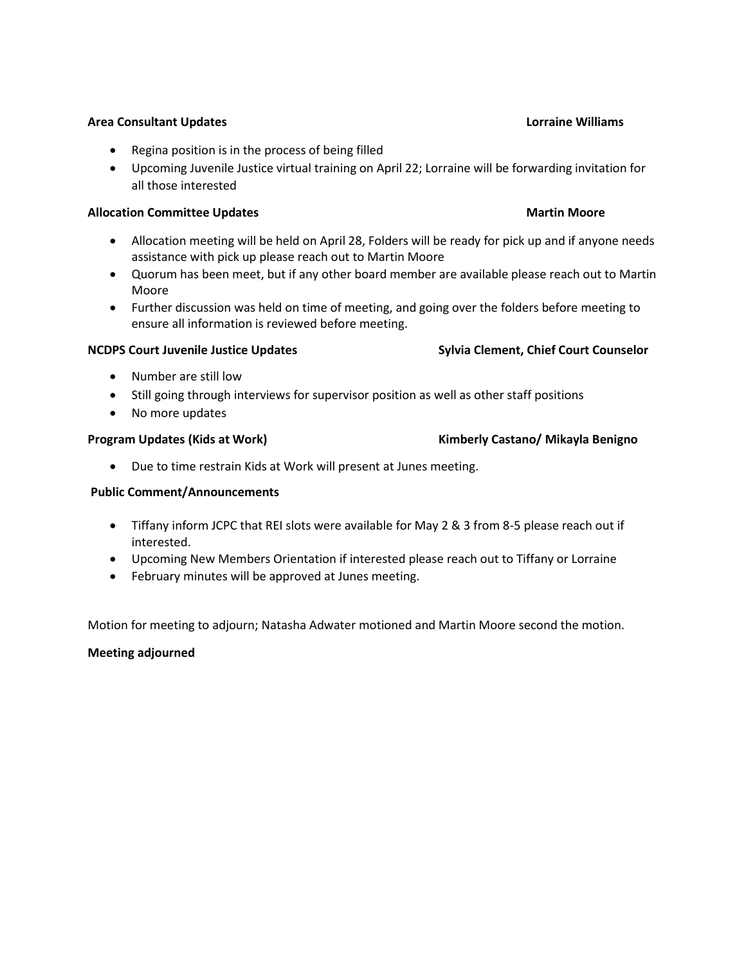Upcoming Juvenile Justice virtual training on April 22; Lorraine will be forwarding invitation for all those interested

### **Allocation Committee Updates Martin Moore Martin Moore Martin Moore**

• Regina position is in the process of being filled

- Allocation meeting will be held on April 28, Folders will be ready for pick up and if anyone needs assistance with pick up please reach out to Martin Moore
- Quorum has been meet, but if any other board member are available please reach out to Martin Moore
- Further discussion was held on time of meeting, and going over the folders before meeting to ensure all information is reviewed before meeting.

## **NCDPS Court Juvenile Justice Updates Sylvia Clement, Chief Court Counselor**

- Number are still low
- Still going through interviews for supervisor position as well as other staff positions
- No more updates

Due to time restrain Kids at Work will present at Junes meeting.

# **Public Comment/Announcements**

- Tiffany inform JCPC that REI slots were available for May 2 & 3 from 8-5 please reach out if interested.
- Upcoming New Members Orientation if interested please reach out to Tiffany or Lorraine
- February minutes will be approved at Junes meeting.

Motion for meeting to adjourn; Natasha Adwater motioned and Martin Moore second the motion.

### **Meeting adjourned**

### **Area Consultant Updates Lorraine Williams**

# **Program Updates (Kids at Work) Kimberly Castano/ Mikayla Benigno**